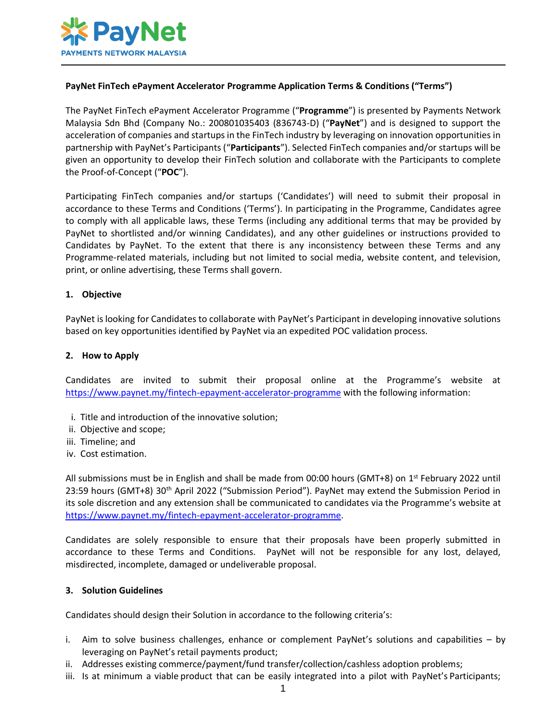

# **PayNet FinTech ePayment Accelerator Programme Application Terms & Conditions ("Terms")**

The PayNet FinTech ePayment Accelerator Programme ("**Programme**") is presented by Payments Network Malaysia Sdn Bhd (Company No.: 200801035403 (836743-D) ("**PayNet**") and is designed to support the acceleration of companies and startups in the FinTech industry by leveraging on innovation opportunities in partnership with PayNet's Participants ("**Participants**"). Selected FinTech companies and/or startups will be given an opportunity to develop their FinTech solution and collaborate with the Participants to complete the Proof-of-Concept ("**POC**").

Participating FinTech companies and/or startups ('Candidates') will need to submit their proposal in accordance to these Terms and Conditions ('Terms'). In participating in the Programme, Candidates agree to comply with all applicable laws, these Terms (including any additional terms that may be provided by PayNet to shortlisted and/or winning Candidates), and any other guidelines or instructions provided to Candidates by PayNet. To the extent that there is any inconsistency between these Terms and any Programme-related materials, including but not limited to social media, website content, and television, print, or online advertising, these Terms shall govern.

# **1. Objective**

PayNet is looking for Candidates to collaborate with PayNet's Participant in developing innovative solutions based on key opportunities identified by PayNet via an expedited POC validation process.

#### **2. How to Apply**

Candidates are invited to submit their proposal online at the Programme's website at <https://www.paynet.my/fintech-epayment-accelerator-programme> with the following information:

- i. Title and introduction of the innovative solution;
- ii. Objective and scope;
- iii. Timeline; and
- iv. Cost estimation.

All submissions must be in English and shall be made from 00:00 hours (GMT+8) on 1<sup>st</sup> February 2022 until 23:59 hours (GMT+8) 30<sup>th</sup> April 2022 ("Submission Period"). PayNet may extend the Submission Period in its sole discretion and any extension shall be communicated to candidates via the Programme's website at [https://www.paynet.my/fintech-epayment-accelerator-programme.](https://www.paynet.my/fintech-epayment-accelerator-programme)

Candidates are solely responsible to ensure that their proposals have been properly submitted in accordance to these Terms and Conditions. PayNet will not be responsible for any lost, delayed, misdirected, incomplete, damaged or undeliverable proposal.

#### **3. Solution Guidelines**

Candidates should design their Solution in accordance to the following criteria's:

- i. Aim to solve business challenges, enhance or complement PayNet's solutions and capabilities by leveraging on PayNet's retail payments product;
- ii. Addresses existing commerce/payment/fund transfer/collection/cashless adoption problems;
- iii. Is at minimum a viable product that can be easily integrated into a pilot with PayNet's Participants;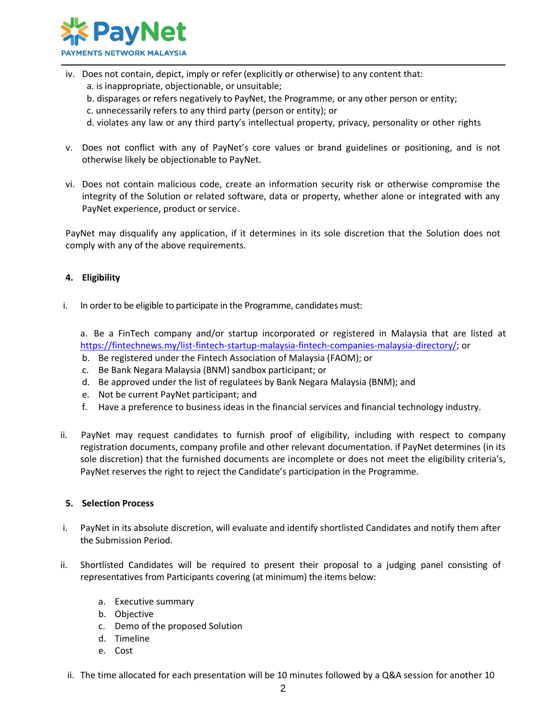

- iv. Does not contain, depict, imply or refer (explicitly or otherwise) to any content that:
	- a. is inappropriate, objectionable, or unsuitable;
	- b. disparages or refers negatively to PayNet, the Programme, or any other person or entity;
	- c. unnecessarily refers to any third party (person or entity); or
	- d. violates any law or any third party's intellectual property, privacy, personality or other rights
- v. Does not conflict with any of PayNet's core values or brand guidelines or positioning, and is not otherwise likely be objectionable to PayNet.
- vi. Does not contain malicious code, create an information security risk or otherwise compromise the integrity of the Solution or related software, data or property, whether alone or integrated with any PayNet experience, product or service.

PayNet may disqualify any application, if it determines in its sole discretion that the Solution does not comply with any of the above requirements.

# **4. Eligibility**

i. In order to be eligible to participate in the Programme, candidates must:

a. Be a FinTech company and/or startup incorporated or registered in Malaysia that are listed at [https://fintechnews.my/list-fintech-startup-malaysia-fintech-companies-malaysia-directory/;](https://fintechnews.my/list-fintech-startup-malaysia-fintech-companies-malaysia-directory/) or

- b. Be registered under the Fintech Association of Malaysia (FAOM); or
- c. Be Bank Negara Malaysia (BNM) sandbox participant; or
- d. Be approved under the list of regulatees by Bank Negara Malaysia (BNM); and
- e. Not be current PayNet participant; and
- f. Have a preference to business ideas in the financial services and financial technology industry.
- ii. PayNet may request candidates to furnish proof of eligibility, including with respect to company registration documents, company profile and other relevant documentation. if PayNet determines (in its sole discretion) that the furnished documents are incomplete or does not meet the eligibility criteria's, PayNet reserves the right to reject the Candidate's participation in the Programme.

# **5. Selection Process**

- i. PayNet in its absolute discretion, will evaluate and identify shortlisted Candidates and notify them after the Submission Period.
- ii. Shortlisted Candidates will be required to present their proposal to a judging panel consisting of representatives from Participants covering (at minimum) the items below:
	- a. Executive summary
	- b. Objective
	- c. Demo of the proposed Solution
	- d. Timeline
	- e. Cost
	- ii. The time allocated for each presentation will be 10 minutes followed by a Q&A session for another 10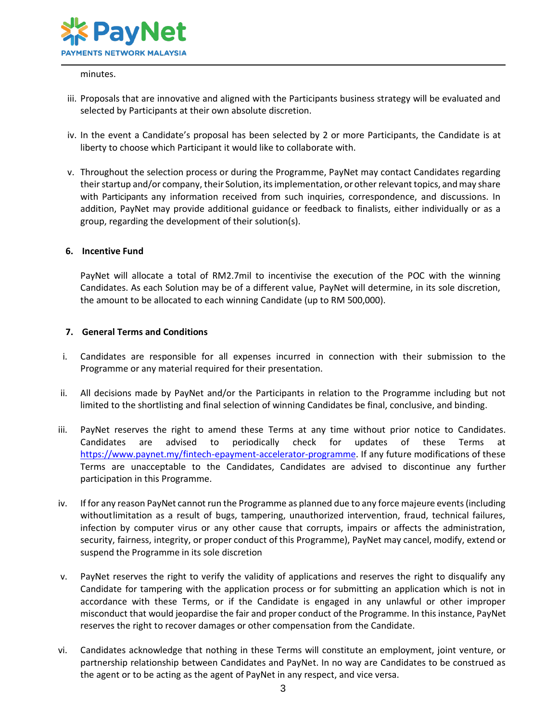

#### minutes.

- iii. Proposals that are innovative and aligned with the Participants business strategy will be evaluated and selected by Participants at their own absolute discretion.
- iv. In the event a Candidate's proposal has been selected by 2 or more Participants, the Candidate is at liberty to choose which Participant it would like to collaborate with.
- v. Throughout the selection process or during the Programme, PayNet may contact Candidates regarding their startup and/or company, their Solution, its implementation, or other relevant topics, and may share with Participants any information received from such inquiries, correspondence, and discussions. In addition, PayNet may provide additional guidance or feedback to finalists, either individually or as a group, regarding the development of their solution(s).

#### **6. Incentive Fund**

PayNet will allocate a total of RM2.7mil to incentivise the execution of the POC with the winning Candidates. As each Solution may be of a different value, PayNet will determine, in its sole discretion, the amount to be allocated to each winning Candidate (up to RM 500,000).

#### **7. General Terms and Conditions**

- i. Candidates are responsible for all expenses incurred in connection with their submission to the Programme or any material required for their presentation.
- ii. All decisions made by PayNet and/or the Participants in relation to the Programme including but not limited to the shortlisting and final selection of winning Candidates be final, conclusive, and binding.
- iii. PayNet reserves the right to amend these Terms at any time without prior notice to Candidates. Candidates are advised to periodically check for updates of these Terms at [https://www.paynet.my/fintech-epayment-accelerator-programme.](https://www.paynet.my/fintech-epayment-accelerator-programme) If any future modifications of these Terms are unacceptable to the Candidates, Candidates are advised to discontinue any further participation in this Programme.
- iv. If for any reason PayNet cannot run the Programme as planned due to any force majeure events(including withoutlimitation as a result of bugs, tampering, unauthorized intervention, fraud, technical failures, infection by computer virus or any other cause that corrupts, impairs or affects the administration, security, fairness, integrity, or proper conduct of this Programme), PayNet may cancel, modify, extend or suspend the Programme in its sole discretion
- v. PayNet reserves the right to verify the validity of applications and reserves the right to disqualify any Candidate for tampering with the application process or for submitting an application which is not in accordance with these Terms, or if the Candidate is engaged in any unlawful or other improper misconduct that would jeopardise the fair and proper conduct of the Programme. In this instance, PayNet reserves the right to recover damages or other compensation from the Candidate.
- vi. Candidates acknowledge that nothing in these Terms will constitute an employment, joint venture, or partnership relationship between Candidates and PayNet. In no way are Candidates to be construed as the agent or to be acting as the agent of PayNet in any respect, and vice versa.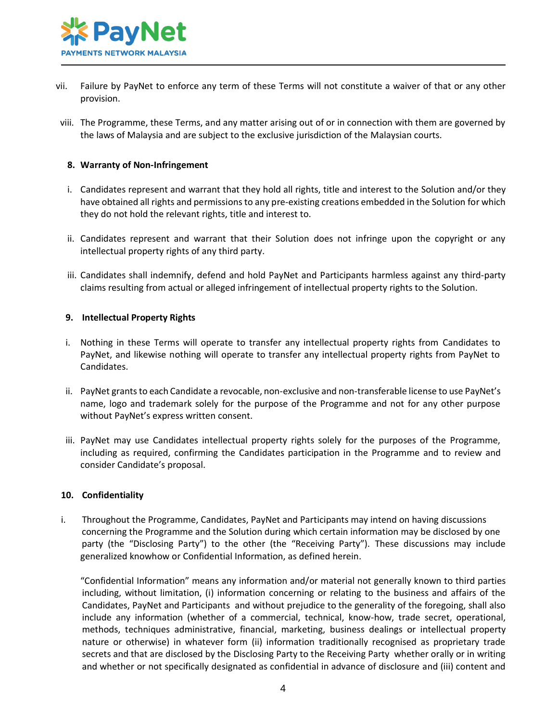

- vii. Failure by PayNet to enforce any term of these Terms will not constitute a waiver of that or any other provision.
- viii. The Programme, these Terms, and any matter arising out of or in connection with them are governed by the laws of Malaysia and are subject to the exclusive jurisdiction of the Malaysian courts.

## **8. Warranty of Non-Infringement**

- i. Candidates represent and warrant that they hold all rights, title and interest to the Solution and/or they have obtained all rights and permissions to any pre-existing creations embedded in the Solution for which they do not hold the relevant rights, title and interest to.
- ii. Candidates represent and warrant that their Solution does not infringe upon the copyright or any intellectual property rights of any third party.
- iii. Candidates shall indemnify, defend and hold PayNet and Participants harmless against any third-party claims resulting from actual or alleged infringement of intellectual property rights to the Solution.

#### **9. Intellectual Property Rights**

- i. Nothing in these Terms will operate to transfer any intellectual property rights from Candidates to PayNet, and likewise nothing will operate to transfer any intellectual property rights from PayNet to Candidates.
- ii. PayNet grants to each Candidate a revocable, non-exclusive and non-transferable license to use PayNet's name, logo and trademark solely for the purpose of the Programme and not for any other purpose without PayNet's express written consent.
- iii. PayNet may use Candidates intellectual property rights solely for the purposes of the Programme, including as required, confirming the Candidates participation in the Programme and to review and consider Candidate's proposal.

#### **10. Confidentiality**

i. Throughout the Programme, Candidates, PayNet and Participants may intend on having discussions concerning the Programme and the Solution during which certain information may be disclosed by one party (the "Disclosing Party") to the other (the "Receiving Party"). These discussions may include generalized knowhow or Confidential Information, as defined herein.

"Confidential Information" means any information and/or material not generally known to third parties including, without limitation, (i) information concerning or relating to the business and affairs of the Candidates, PayNet and Participants and without prejudice to the generality of the foregoing, shall also include any information (whether of a commercial, technical, know-how, trade secret, operational, methods, techniques administrative, financial, marketing, business dealings or intellectual property nature or otherwise) in whatever form (ii) information traditionally recognised as proprietary trade secrets and that are disclosed by the Disclosing Party to the Receiving Party whether orally or in writing and whether or not specifically designated as confidential in advance of disclosure and (iii) content and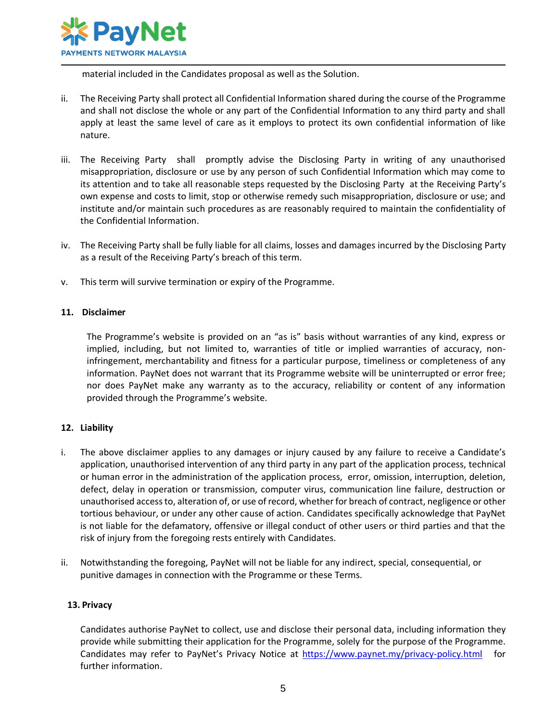

material included in the Candidates proposal as well as the Solution.

- ii. The Receiving Party shall protect all Confidential Information shared during the course of the Programme and shall not disclose the whole or any part of the Confidential Information to any third party and shall apply at least the same level of care as it employs to protect its own confidential information of like nature.
- iii. The Receiving Party shall promptly advise the Disclosing Party in writing of any unauthorised misappropriation, disclosure or use by any person of such Confidential Information which may come to its attention and to take all reasonable steps requested by the Disclosing Party at the Receiving Party's own expense and costs to limit, stop or otherwise remedy such misappropriation, disclosure or use; and institute and/or maintain such procedures as are reasonably required to maintain the confidentiality of the Confidential Information.
- iv. The Receiving Party shall be fully liable for all claims, losses and damages incurred by the Disclosing Party as a result of the Receiving Party's breach of this term.
- v. This term will survive termination or expiry of the Programme.

#### **11. Disclaimer**

The Programme's website is provided on an "as is" basis without warranties of any kind, express or implied, including, but not limited to, warranties of title or implied warranties of accuracy, noninfringement, merchantability and fitness for a particular purpose, timeliness or completeness of any information. PayNet does not warrant that its Programme website will be uninterrupted or error free; nor does PayNet make any warranty as to the accuracy, reliability or content of any information provided through the Programme's website.

# **12. Liability**

- i. The above disclaimer applies to any damages or injury caused by any failure to receive a Candidate's application, unauthorised intervention of any third party in any part of the application process, technical or human error in the administration of the application process, error, omission, interruption, deletion, defect, delay in operation or transmission, computer virus, communication line failure, destruction or unauthorised access to, alteration of, or use of record, whether for breach of contract, negligence or other tortious behaviour, or under any other cause of action. Candidates specifically acknowledge that PayNet is not liable for the defamatory, offensive or illegal conduct of other users or third parties and that the risk of injury from the foregoing rests entirely with Candidates.
- ii. Notwithstanding the foregoing, PayNet will not be liable for any indirect, special, consequential, or punitive damages in connection with the Programme or these Terms.

#### **13. Privacy**

Candidates authorise PayNet to collect, use and disclose their personal data, including information they provide while submitting their application for the Programme, solely for the purpose of the Programme. Candidates may refer to PayNet's Privacy Notice at<https://www.paynet.my/privacy-policy.html>for further information.